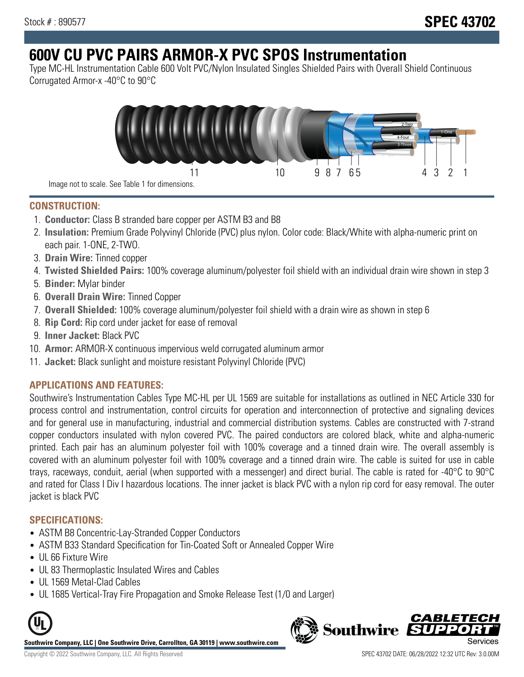# **600V CU PVC PAIRS ARMOR-X PVC SPOS Instrumentation**

Type MC-HL Instrumentation Cable 600 Volt PVC/Nylon Insulated Singles Shielded Pairs with Overall Shield Continuous Corrugated Armor-x -40°C to 90°C



**CONSTRUCTION:**

- 1. **Conductor:** Class B stranded bare copper per ASTM B3 and B8
- 2. **Insulation:** Premium Grade Polyvinyl Chloride (PVC) plus nylon. Color code: Black/White with alpha-numeric print on each pair. 1-ONE, 2-TWO.
- 3. **Drain Wire:** Tinned copper
- 4. **Twisted Shielded Pairs:** 100% coverage aluminum/polyester foil shield with an individual drain wire shown in step 3
- 5. **Binder:** Mylar binder
- 6. **Overall Drain Wire:** Tinned Copper
- 7. **Overall Shielded:** 100% coverage aluminum/polyester foil shield with a drain wire as shown in step 6
- 8. **Rip Cord:** Rip cord under jacket for ease of removal
- 9. **Inner Jacket:** Black PVC
- 10. **Armor:** ARMOR-X continuous impervious weld corrugated aluminum armor
- 11. **Jacket:** Black sunlight and moisture resistant Polyvinyl Chloride (PVC)

## **APPLICATIONS AND FEATURES:**

Southwire's Instrumentation Cables Type MC-HL per UL 1569 are suitable for installations as outlined in NEC Article 330 for process control and instrumentation, control circuits for operation and interconnection of protective and signaling devices and for general use in manufacturing, industrial and commercial distribution systems. Cables are constructed with 7-strand copper conductors insulated with nylon covered PVC. The paired conductors are colored black, white and alpha-numeric printed. Each pair has an aluminum polyester foil with 100% coverage and a tinned drain wire. The overall assembly is covered with an aluminum polyester foil with 100% coverage and a tinned drain wire. The cable is suited for use in cable trays, raceways, conduit, aerial (when supported with a messenger) and direct burial. The cable is rated for -40°C to 90°C and rated for Class I Div I hazardous locations. The inner jacket is black PVC with a nylon rip cord for easy removal. The outer jacket is black PVC

### **SPECIFICATIONS:**

- ASTM B8 Concentric-Lay-Stranded Copper Conductors
- ASTM B33 Standard Specification for Tin-Coated Soft or Annealed Copper Wire
- UL 66 Fixture Wire
- UL 83 Thermoplastic Insulated Wires and Cables
- UL 1569 Metal-Clad Cables
- UL 1685 Vertical-Tray Fire Propagation and Smoke Release Test (1/0 and Larger)



**Southwire Company, LLC | One Southwire Drive, Carrollton, GA 30119 | www.southwire.com**